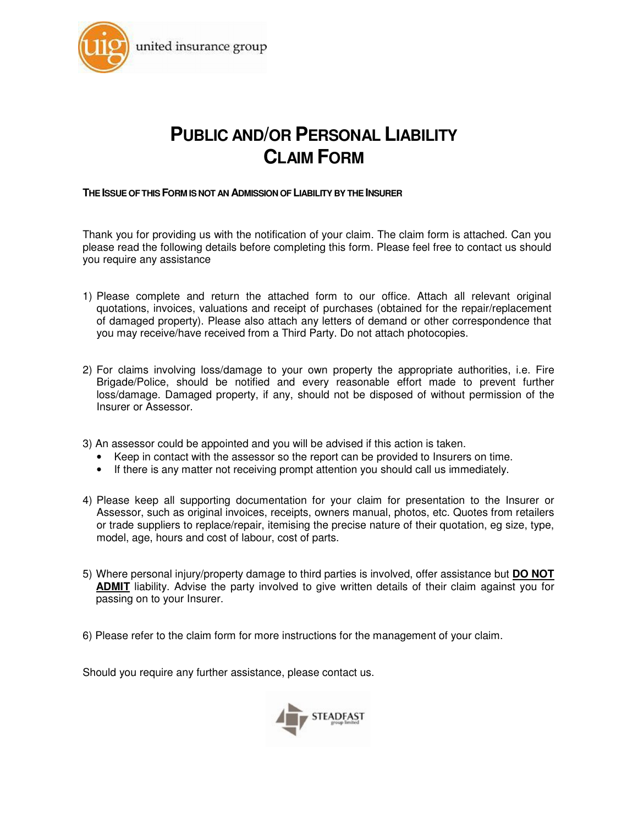

# **PUBLIC AND/OR PERSONAL LIABILITY CLAIM FORM**

#### **THE ISSUE OF THIS FORM IS NOT AN ADMISSION OF LIABILITY BY THE INSURER**

Thank you for providing us with the notification of your claim. The claim form is attached. Can you please read the following details before completing this form. Please feel free to contact us should you require any assistance

- 1) Please complete and return the attached form to our office. Attach all relevant original quotations, invoices, valuations and receipt of purchases (obtained for the repair/replacement of damaged property). Please also attach any letters of demand or other correspondence that you may receive/have received from a Third Party. Do not attach photocopies.
- 2) For claims involving loss/damage to your own property the appropriate authorities, i.e. Fire Brigade/Police, should be notified and every reasonable effort made to prevent further loss/damage. Damaged property, if any, should not be disposed of without permission of the Insurer or Assessor.
- 3) An assessor could be appointed and you will be advised if this action is taken.
	- Keep in contact with the assessor so the report can be provided to Insurers on time.
	- If there is any matter not receiving prompt attention you should call us immediately.
- 4) Please keep all supporting documentation for your claim for presentation to the Insurer or Assessor, such as original invoices, receipts, owners manual, photos, etc. Quotes from retailers or trade suppliers to replace/repair, itemising the precise nature of their quotation, eg size, type, model, age, hours and cost of labour, cost of parts.
- 5) Where personal injury/property damage to third parties is involved, offer assistance but **DO NOT ADMIT** liability. Advise the party involved to give written details of their claim against you for passing on to your Insurer.
- 6) Please refer to the claim form for more instructions for the management of your claim.

Should you require any further assistance, please contact us.

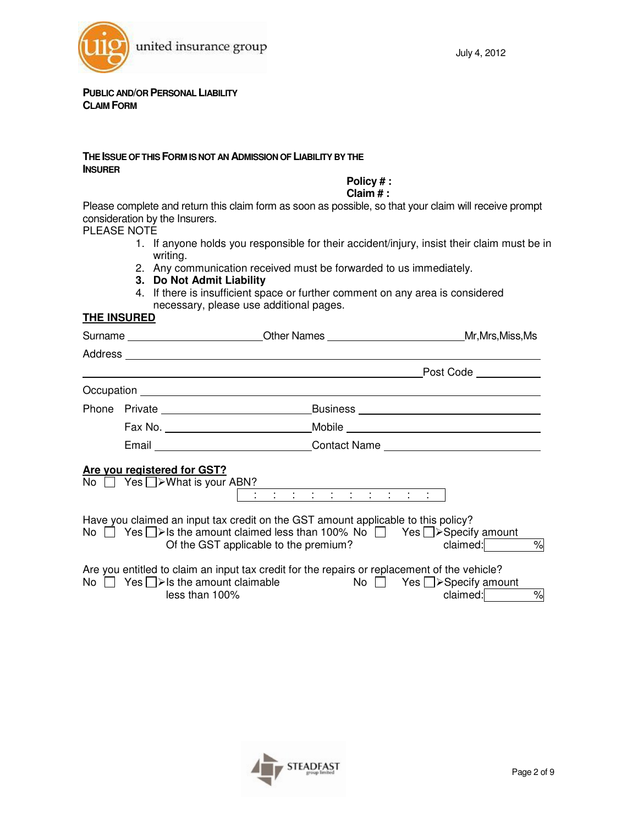

#### **PUBLIC AND/OR PERSONAL LIABILITY CLAIM FORM**

#### **THE ISSUE OF THIS FORM IS NOT AN ADMISSION OF LIABILITY BY THE INSURER**

**Policy # :** 

**Claim # :** 

Please complete and return this claim form as soon as possible, so that your claim will receive prompt consideration by the Insurers.

PLEASE NOTE

- 1. If anyone holds you responsible for their accident/injury, insist their claim must be in writing.
- 2. Any communication received must be forwarded to us immediately.
- **3. Do Not Admit Liability**
- 4. If there is insufficient space or further comment on any area is considered necessary, please use additional pages.

| <b>THE INSURED</b> |  |
|--------------------|--|
|                    |  |

|                                                                         | Surname __________________________Other Names ______________________________Mr,Mrs,Miss,Ms                                                                                                                                      |                       |
|-------------------------------------------------------------------------|---------------------------------------------------------------------------------------------------------------------------------------------------------------------------------------------------------------------------------|-----------------------|
|                                                                         |                                                                                                                                                                                                                                 |                       |
|                                                                         |                                                                                                                                                                                                                                 | Post Code ___________ |
|                                                                         |                                                                                                                                                                                                                                 |                       |
|                                                                         |                                                                                                                                                                                                                                 |                       |
|                                                                         |                                                                                                                                                                                                                                 |                       |
|                                                                         | Email _________________________________Contact Name ____________________________                                                                                                                                                |                       |
| Are you registered for GST?<br>No $\Box$ Yes $\Box$ > What is your ABN? |                                                                                                                                                                                                                                 |                       |
|                                                                         | Have you claimed an input tax credit on the GST amount applicable to this policy?<br>No $\Box$ Yes $\Box$ > Is the amount claimed less than 100% No $\Box$ Yes $\Box$ > Specify amount<br>Of the GST applicable to the premium? | $\%$<br>claimed:      |
| less than 100%                                                          | Are you entitled to claim an input tax credit for the repairs or replacement of the vehicle?<br>No $\Box$ Yes $\Box$ > Is the amount claimable $\Box$ No $\Box$ Yes $\Box$ > Specify amount                                     | $\%$<br>claimed:      |

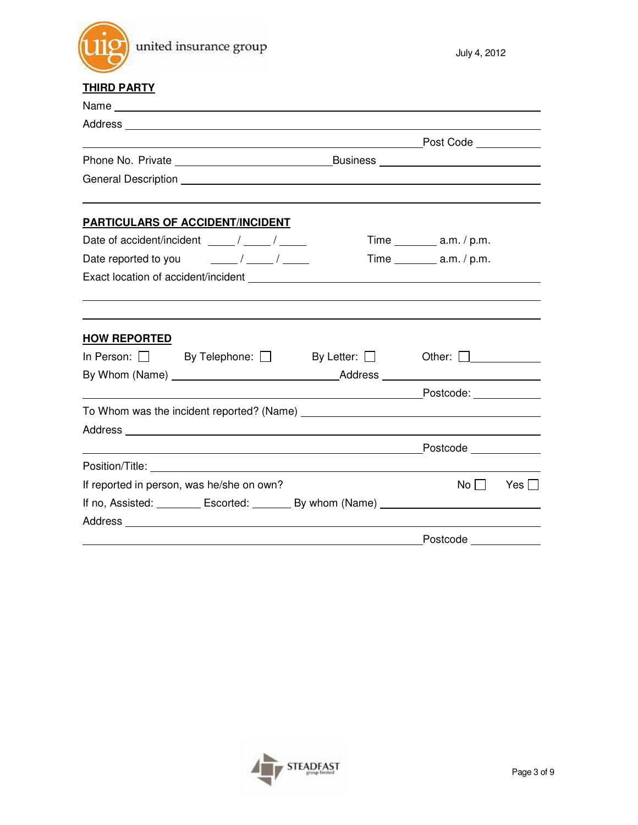

# **THIRD PARTY**

|                                                      | <u>Post Code</u> |                                            |            |
|------------------------------------------------------|------------------|--------------------------------------------|------------|
|                                                      |                  |                                            |            |
|                                                      |                  |                                            |            |
| <b>PARTICULARS OF ACCIDENT/INCIDENT</b>              |                  |                                            |            |
| Date of accident/incident _____/ _____/              |                  | Time _____________ a.m. $/ p.m.$           |            |
|                                                      |                  |                                            |            |
|                                                      |                  |                                            |            |
|                                                      |                  |                                            |            |
| <b>HOW REPORTED</b>                                  |                  |                                            |            |
|                                                      |                  |                                            |            |
| By Whom (Name) <u>example and the set of Address</u> |                  |                                            |            |
|                                                      |                  |                                            |            |
|                                                      |                  |                                            |            |
|                                                      |                  |                                            |            |
|                                                      |                  |                                            |            |
|                                                      |                  |                                            |            |
| If reported in person, was he/she on own?            |                  | $\mathsf{No} \,\bigsqcup$                  | Yes $\Box$ |
|                                                      |                  |                                            |            |
|                                                      |                  |                                            |            |
|                                                      |                  | <b>Exercise Postcode Exercise Postcode</b> |            |

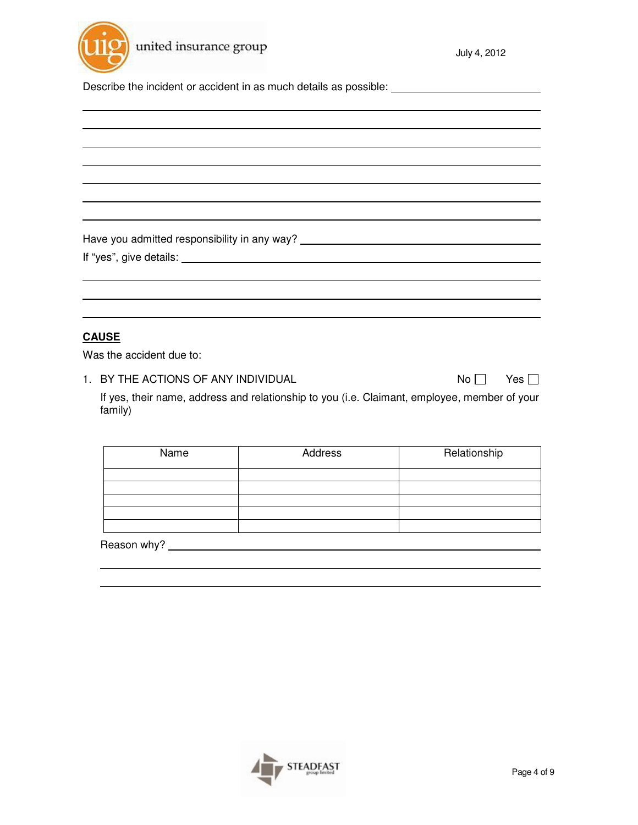

Describe the incident or accident in as much details as possible: \_\_\_\_\_\_\_\_\_\_\_\_\_\_

Have you admitted responsibility in any way? \_\_\_\_\_\_\_\_\_\_\_\_\_\_\_\_\_\_\_\_\_\_\_\_\_\_\_\_\_\_\_\_\_\_\_

|  |  |  | If "yes", give details: |  |
|--|--|--|-------------------------|--|
|--|--|--|-------------------------|--|

# **CAUSE**

Was the accident due to:

1. BY THE ACTIONS OF ANY INDIVIDUAL  $N_0 \Box$  Yes  $\Box$ 

If yes, their name, address and relationship to you (i.e. Claimant, employee, member of your family)

| Name        | Address | Relationship |
|-------------|---------|--------------|
|             |         |              |
|             |         |              |
|             |         |              |
|             |         |              |
|             |         |              |
| Reason why? |         |              |

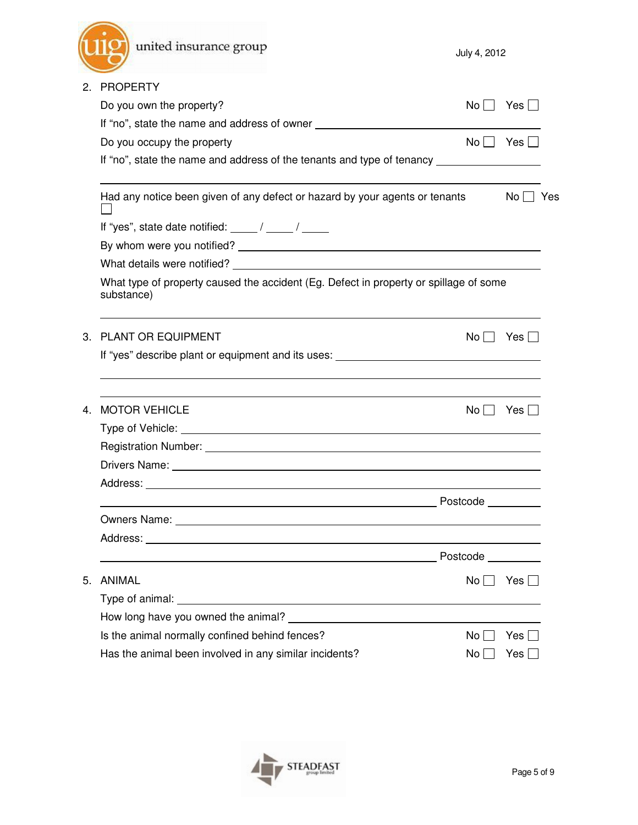|    | united insurance group                                                                                                                                                                                                         | July 4, 2012         |                  |
|----|--------------------------------------------------------------------------------------------------------------------------------------------------------------------------------------------------------------------------------|----------------------|------------------|
| 2. | <b>PROPERTY</b>                                                                                                                                                                                                                |                      |                  |
|    | Do you own the property?                                                                                                                                                                                                       | No II                | Yes              |
|    | If "no", state the name and address of owner ___________________________________                                                                                                                                               |                      |                  |
|    | Do you occupy the property                                                                                                                                                                                                     |                      | $No$     Yes     |
|    | If "no", state the name and address of the tenants and type of tenancy ________________                                                                                                                                        |                      |                  |
|    | Had any notice been given of any defect or hazard by your agents or tenants                                                                                                                                                    |                      | No     Yes       |
|    | If "yes", state date notified: $\frac{1}{\sqrt{2\pi}}$ / $\frac{1}{\sqrt{2\pi}}$                                                                                                                                               |                      |                  |
|    |                                                                                                                                                                                                                                |                      |                  |
|    | What details were notified? The state of the state of the state of the state of the state of the state of the state of the state of the state of the state of the state of the state of the state of the state of the state of |                      |                  |
|    | What type of property caused the accident (Eg. Defect in property or spillage of some<br>substance)                                                                                                                            |                      |                  |
| 3. | <b>PLANT OR EQUIPMENT</b>                                                                                                                                                                                                      | $No$ $\vert \ \vert$ | Yes $\Box$       |
|    | If "yes" describe plant or equipment and its uses: _____________________________                                                                                                                                               |                      |                  |
| 4. | <b>MOTOR VEHICLE</b>                                                                                                                                                                                                           | No <sub>1</sub>      | Yes <sub>1</sub> |
|    |                                                                                                                                                                                                                                |                      |                  |
|    | Registration Number: University of the Contract of the Contract of the Contract of the Contract of the Contract of the Contract of the Contract of the Contract of the Contract of the Contract of the Contract of the Contrac |                      |                  |
|    |                                                                                                                                                                                                                                |                      |                  |
|    | Address:                                                                                                                                                                                                                       |                      |                  |
|    |                                                                                                                                                                                                                                | Postcode _________   |                  |
|    |                                                                                                                                                                                                                                |                      |                  |
|    |                                                                                                                                                                                                                                |                      |                  |
|    |                                                                                                                                                                                                                                | Postcode _________   |                  |
| 5. | <b>ANIMAL</b>                                                                                                                                                                                                                  | $No$                 | Yes $\Box$       |
|    |                                                                                                                                                                                                                                |                      |                  |
|    |                                                                                                                                                                                                                                |                      |                  |
|    | Is the animal normally confined behind fences?                                                                                                                                                                                 | No.                  | Yes I            |
|    | Has the animal been involved in any similar incidents?                                                                                                                                                                         | No                   | Yes              |

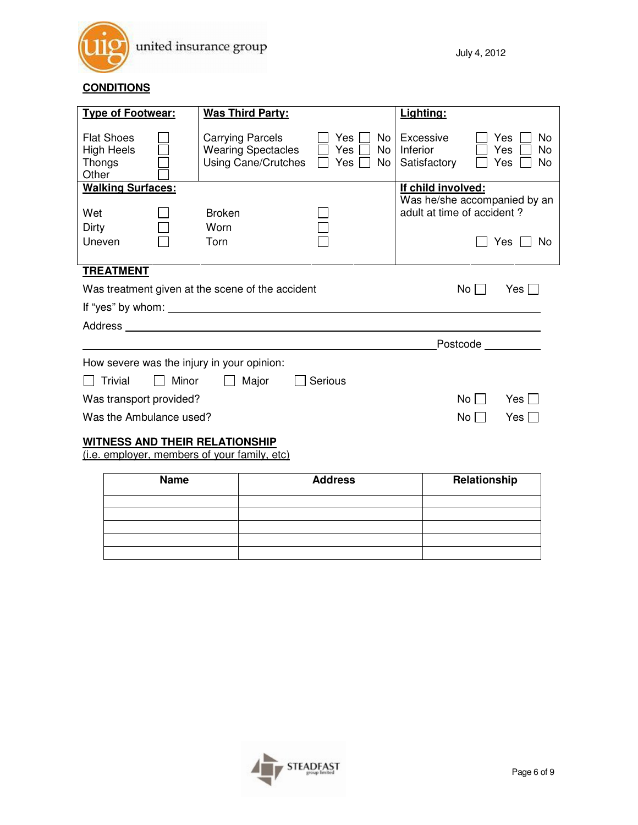

# **CONDITIONS**

| <b>Type of Footwear:</b>                                             |  | <b>Was Third Party:</b>                                                     |                                      | Lighting:                                                  |                                     |
|----------------------------------------------------------------------|--|-----------------------------------------------------------------------------|--------------------------------------|------------------------------------------------------------|-------------------------------------|
| <b>Flat Shoes</b><br><b>High Heels</b><br>Thongs<br>Other            |  | <b>Carrying Parcels</b><br><b>Wearing Spectacles</b><br>Using Cane/Crutches | Yes<br>No.<br>Yes<br>No<br>Yes<br>No | Excessive<br>Inferior<br>Satisfactory                      | Yes<br>No<br>Yes<br>No<br>Yes<br>No |
| <b>Walking Surfaces:</b>                                             |  |                                                                             |                                      | If child involved:                                         |                                     |
| Wet<br>Dirty                                                         |  | <b>Broken</b><br>Worn                                                       |                                      | Was he/she accompanied by an<br>adult at time of accident? |                                     |
| Uneven                                                               |  | Torn                                                                        |                                      |                                                            | Yes<br>No                           |
| <b>TREATMENT</b>                                                     |  |                                                                             |                                      |                                                            |                                     |
| Was treatment given at the scene of the accident<br>No<br>Yes $\Box$ |  |                                                                             |                                      |                                                            |                                     |
|                                                                      |  |                                                                             |                                      |                                                            |                                     |
|                                                                      |  |                                                                             |                                      |                                                            |                                     |
| Postcode                                                             |  |                                                                             |                                      |                                                            |                                     |
| How severe was the injury in your opinion:                           |  |                                                                             |                                      |                                                            |                                     |
| Major<br><b>Trivial</b><br>Minor<br>Serious                          |  |                                                                             |                                      |                                                            |                                     |
| Was transport provided?<br>No<br>Yes $\Box$                          |  |                                                                             |                                      |                                                            |                                     |
| Was the Ambulance used?                                              |  |                                                                             |                                      | No                                                         | Yes I                               |
|                                                                      |  |                                                                             |                                      |                                                            |                                     |

# **WITNESS AND THEIR RELATIONSHIP**

(i.e. employer, members of your family, etc)

| <b>Name</b> | <b>Address</b> | Relationship |
|-------------|----------------|--------------|
|             |                |              |
|             |                |              |
|             |                |              |
|             |                |              |
|             |                |              |

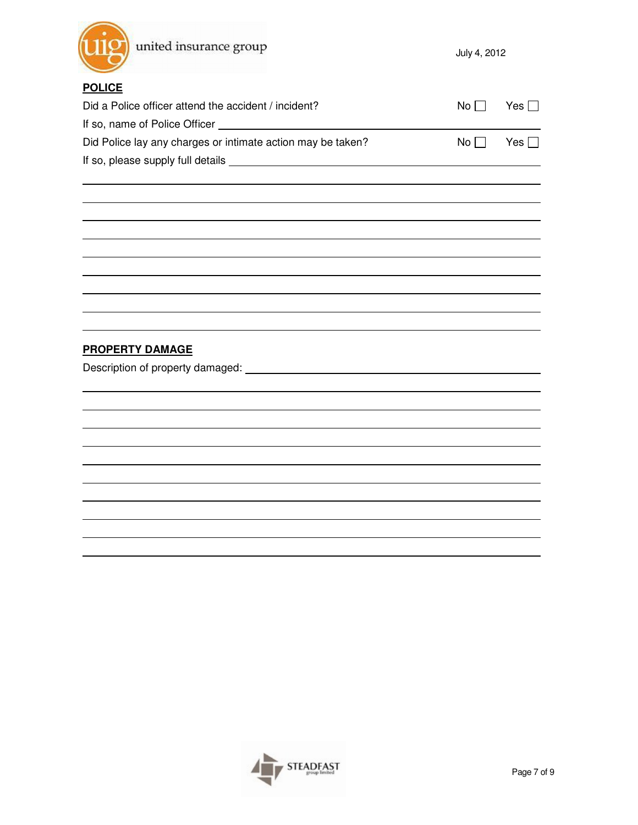

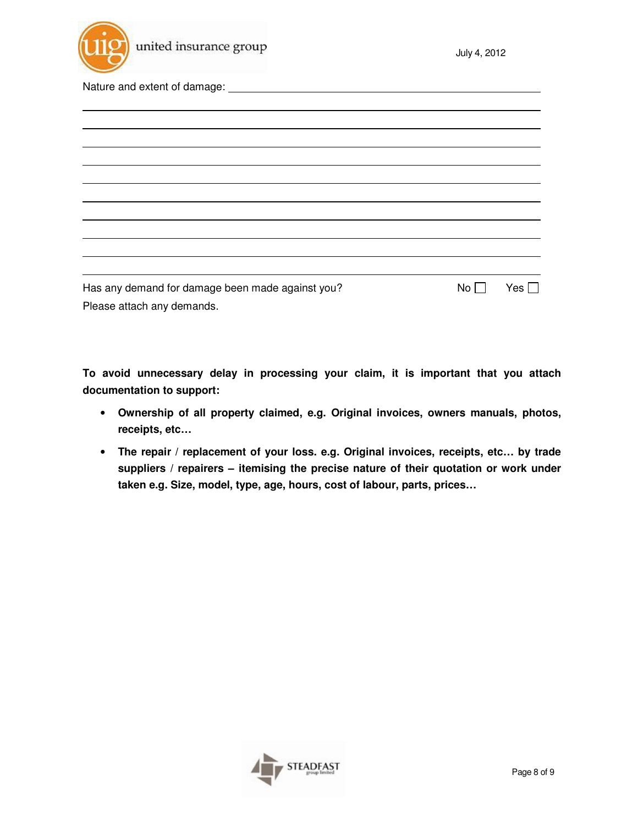

| <u> 1989 - John Stone, Amerikaansk politiker (</u> |                 |            |
|----------------------------------------------------|-----------------|------------|
|                                                    |                 |            |
|                                                    |                 |            |
|                                                    |                 |            |
|                                                    |                 |            |
|                                                    |                 |            |
|                                                    |                 |            |
|                                                    |                 |            |
|                                                    |                 |            |
|                                                    |                 |            |
|                                                    |                 |            |
| Has any demand for damage been made against you?   | No <sub>1</sub> | Yes $\Box$ |
| Please attach any demands.                         |                 |            |

**To avoid unnecessary delay in processing your claim, it is important that you attach documentation to support:** 

- **Ownership of all property claimed, e.g. Original invoices, owners manuals, photos, receipts, etc…**
- **The repair / replacement of your loss. e.g. Original invoices, receipts, etc… by trade suppliers / repairers – itemising the precise nature of their quotation or work under taken e.g. Size, model, type, age, hours, cost of labour, parts, prices…**